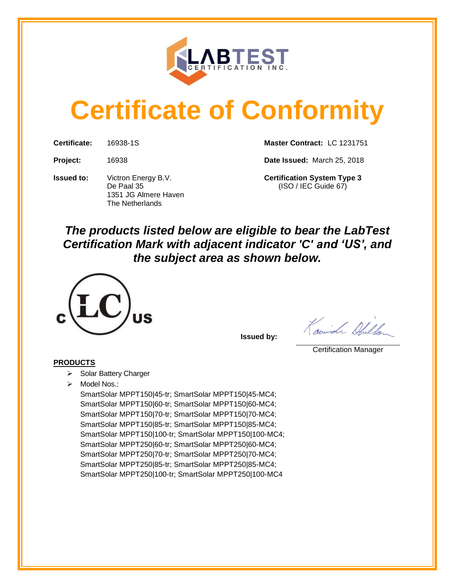

# **Certificate of Conformity**

**Issued to:** Victron Energy B.V. **Certification System Type 3** 1351 JG Almere Haven The Netherlands

**Certificate:** 16938-1S **Master Contract:** LC 1231751

**Project:** 16938 **Date Issued:** March 25, 2018

De Paal 35 (ISO / IEC Guide 67)

# *The products listed below are eligible to bear the LabTest Certification Mark with adjacent indicator 'C' and 'US', and the subject area as shown below.*



**Issued by:** 

Courida Children

Certification Manager

### **PRODUCTS**

- ➢ Solar Battery Charger
- ➢ Model Nos.:

SmartSolar MPPT150|45-tr; SmartSolar MPPT150|45-MC4; SmartSolar MPPT150|60-tr; SmartSolar MPPT150|60-MC4; SmartSolar MPPT150|70-tr; SmartSolar MPPT150|70-MC4; SmartSolar MPPT150|85-tr; SmartSolar MPPT150|85-MC4; SmartSolar MPPT150|100-tr; SmartSolar MPPT150|100-MC4; SmartSolar MPPT250|60-tr; SmartSolar MPPT250|60-MC4; SmartSolar MPPT250|70-tr; SmartSolar MPPT250|70-MC4; SmartSolar MPPT250|85-tr; SmartSolar MPPT250|85-MC4; SmartSolar MPPT250|100-tr; SmartSolar MPPT250|100-MC4